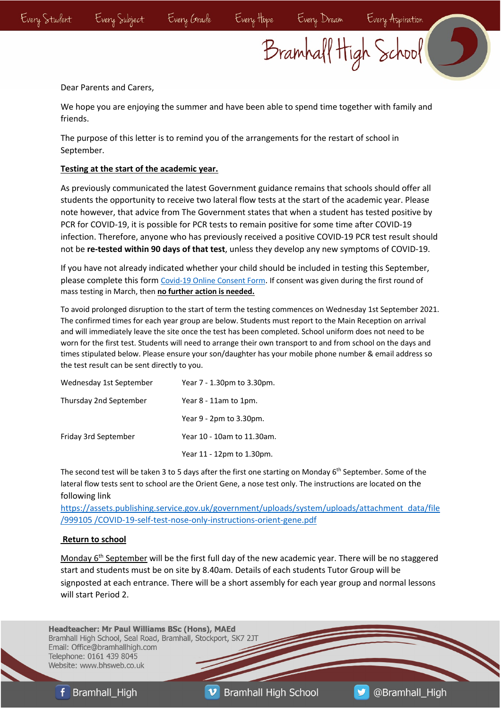## Bramhall High School

Dear Parents and Carers,

We hope you are enjoying the summer and have been able to spend time together with family and friends.

The purpose of this letter is to remind you of the arrangements for the restart of school in September.

## **Testing at the start of the academic year.**

As previously communicated the latest Government guidance remains that schools should offer all students the opportunity to receive two lateral flow tests at the start of the academic year. Please note however, that advice from The Government states that when a student has tested positive by PCR for COVID-19, it is possible for PCR tests to remain positive for some time after COVID-19 infection. Therefore, anyone who has previously received a positive COVID-19 PCR test result should not be **re-tested within 90 days of that test**, unless they develop any new symptoms of COVID-19.

If you have not already indicated whether your child should be included in testing this September, please complete this form Covid-19 Online Consent Form. If consent was given during the first round of mass testing in March, then **no further action is needed.** 

To avoid prolonged disruption to the start of term the testing commences on Wednesday 1st September 2021. The confirmed times for each year group are below. Students must report to the Main Reception on arrival and will immediately leave the site once the test has been completed. School uniform does not need to be worn for the first test. Students will need to arrange their own transport to and from school on the days and times stipulated below. Please ensure your son/daughter has your mobile phone number & email address so the test result can be sent directly to you.

| Wednesday 1st September | Year 7 - 1.30pm to 3.30pm. |
|-------------------------|----------------------------|
| Thursday 2nd September  | Year 8 - 11am to 1pm.      |
|                         | Year 9 - 2pm to 3.30pm.    |
| Friday 3rd September    | Year 10 - 10am to 11.30am. |
|                         | Year 11 - 12pm to 1.30pm.  |

The second test will be taken 3 to 5 days after the first one starting on Monday 6<sup>th</sup> September. Some of the lateral flow tests sent to school are the Orient Gene, a nose test only. The instructions are located on the following link

https://assets.publishing.service.gov.uk/government/uploads/system/uploads/attachment\_data/file /999105 /COVID-19-self-test-nose-only-instructions-orient-gene.pdf

## **Return to school**

Monday  $6<sup>th</sup>$  September will be the first full day of the new academic year. There will be no staggered start and students must be on site by 8.40am. Details of each students Tutor Group will be signposted at each entrance. There will be a short assembly for each year group and normal lessons will start Period 2.

**Headteacher: Mr Paul Williams BSc (Hons), MAEd** Bramhall High School, Seal Road, Bramhall, Stockport, SK7 2JT Email: Office@bramhallhigh.com Telephone: 0161 439 8045 Website: www.bhsweb.co.uk

**f** Bramhall High

 $\boldsymbol{v}$ **Bramhall High School**